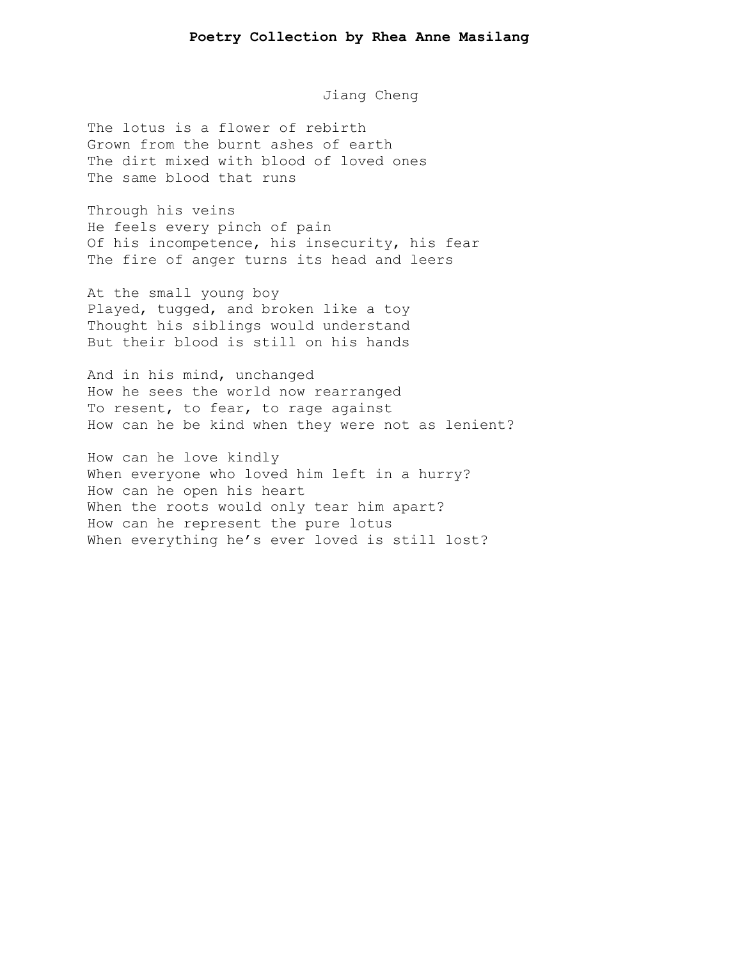Jiang Cheng

The lotus is a flower of rebirth Grown from the burnt ashes of earth The dirt mixed with blood of loved ones The same blood that runs

Through his veins He feels every pinch of pain Of his incompetence, his insecurity, his fear The fire of anger turns its head and leers

At the small young boy Played, tugged, and broken like a toy Thought his siblings would understand But their blood is still on his hands

And in his mind, unchanged How he sees the world now rearranged To resent, to fear, to rage against How can he be kind when they were not as lenient?

How can he love kindly When everyone who loved him left in a hurry? How can he open his heart When the roots would only tear him apart? How can he represent the pure lotus When everything he's ever loved is still lost?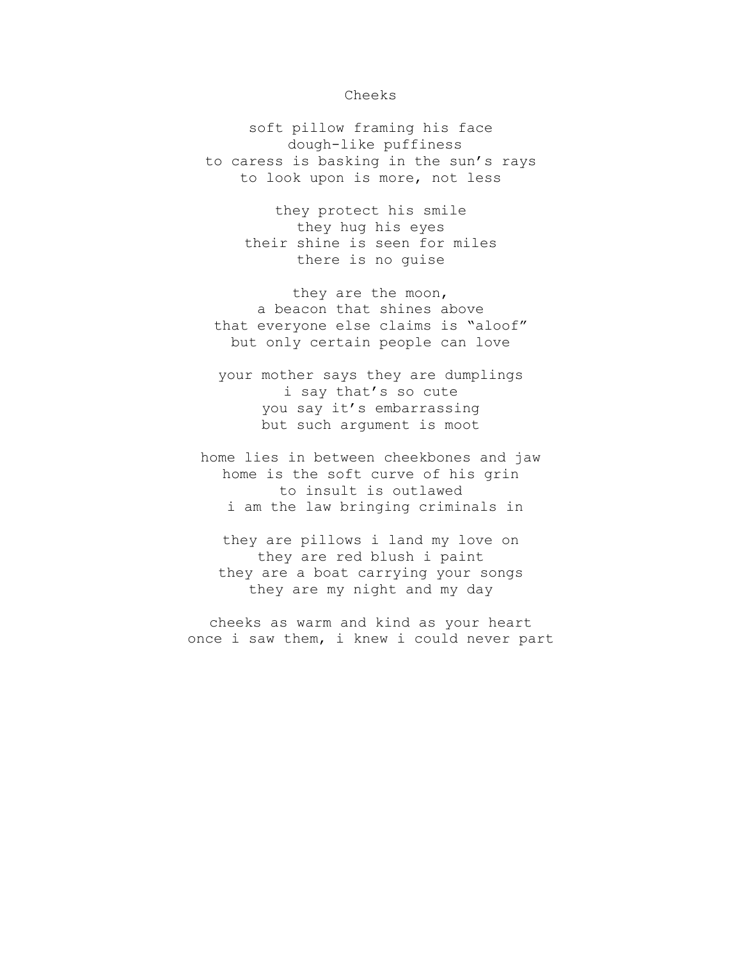## Cheeks

soft pillow framing his face dough-like puffiness to caress is basking in the sun's rays to look upon is more, not less

> they protect his smile they hug his eyes their shine is seen for miles there is no guise

they are the moon, a beacon that shines above that everyone else claims is "aloof" but only certain people can love

your mother says they are dumplings i say that's so cute you say it's embarrassing but such argument is moot

home lies in between cheekbones and jaw home is the soft curve of his grin to insult is outlawed i am the law bringing criminals in

they are pillows i land my love on they are red blush i paint they are a boat carrying your songs they are my night and my day

cheeks as warm and kind as your heart once i saw them, i knew i could never part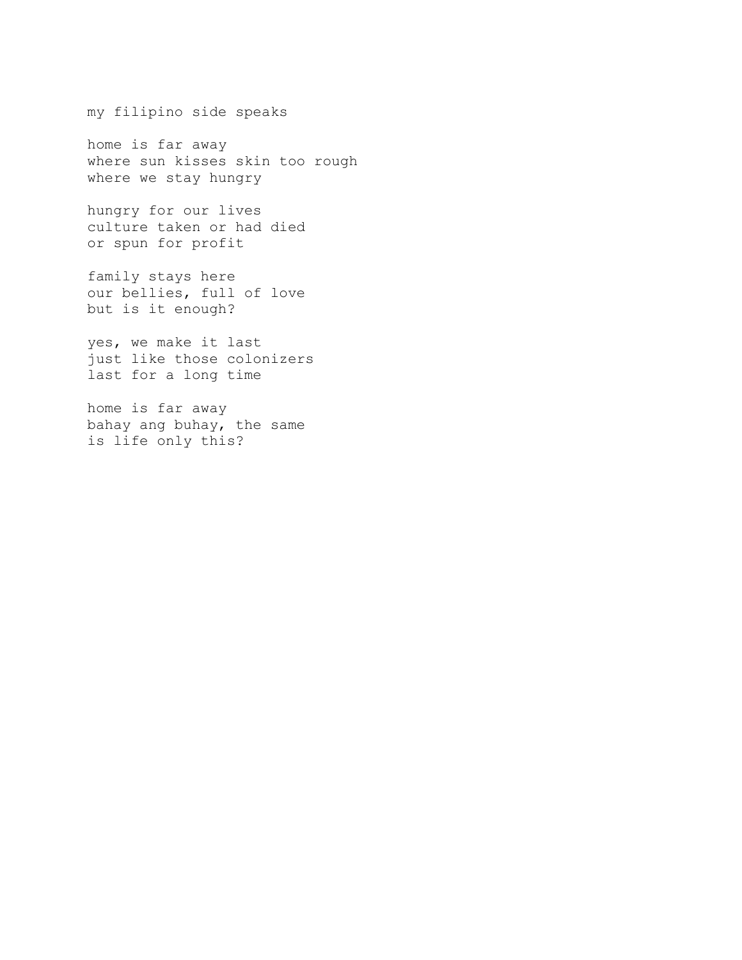my filipino side speaks

home is far away where sun kisses skin too rough where we stay hungry

hungry for our lives culture taken or had died or spun for profit

family stays here our bellies, full of love but is it enough?

yes, we make it last just like those colonizers last for a long time

home is far away bahay ang buhay, the same is life only this?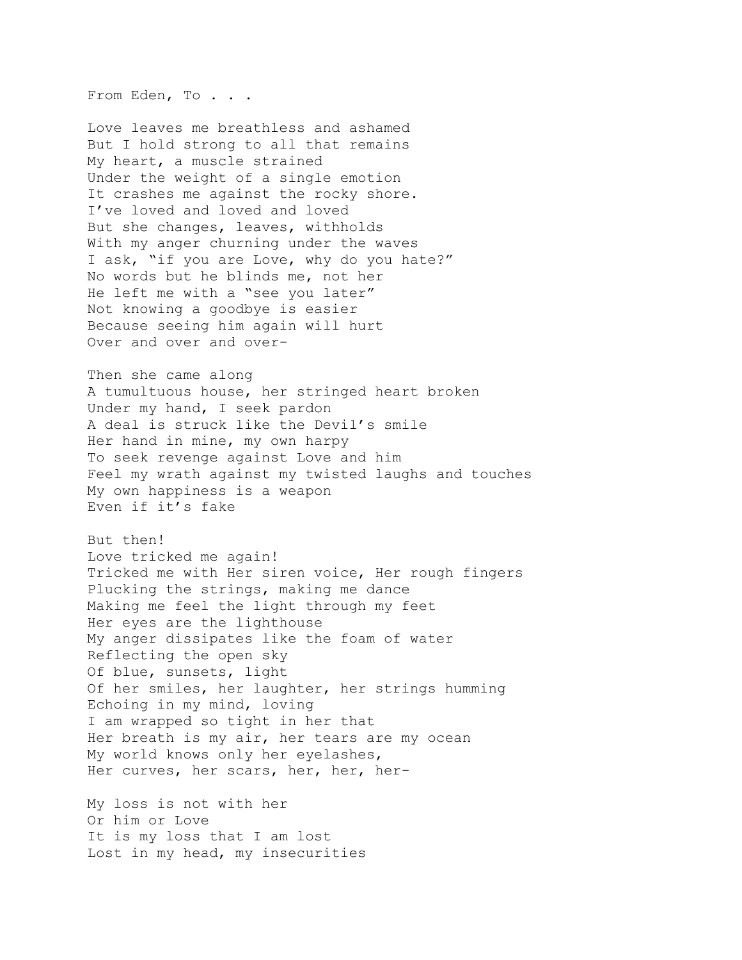From Eden, To . . .

Love leaves me breathless and ashamed But I hold strong to all that remains My heart, a muscle strained Under the weight of a single emotion It crashes me against the rocky shore. I've loved and loved and loved But she changes, leaves, withholds With my anger churning under the waves I ask, "if you are Love, why do you hate?" No words but he blinds me, not her He left me with a "see you later" Not knowing a goodbye is easier Because seeing him again will hurt Over and over and over-

Then she came along A tumultuous house, her stringed heart broken Under my hand, I seek pardon A deal is struck like the Devil's smile Her hand in mine, my own harpy To seek revenge against Love and him Feel my wrath against my twisted laughs and touches My own happiness is a weapon Even if it's fake

But then! Love tricked me again! Tricked me with Her siren voice, Her rough fingers Plucking the strings, making me dance Making me feel the light through my feet Her eyes are the lighthouse My anger dissipates like the foam of water Reflecting the open sky Of blue, sunsets, light Of her smiles, her laughter, her strings humming Echoing in my mind, loving I am wrapped so tight in her that Her breath is my air, her tears are my ocean My world knows only her eyelashes, Her curves, her scars, her, her, her-

My loss is not with her Or him or Love It is my loss that I am lost Lost in my head, my insecurities